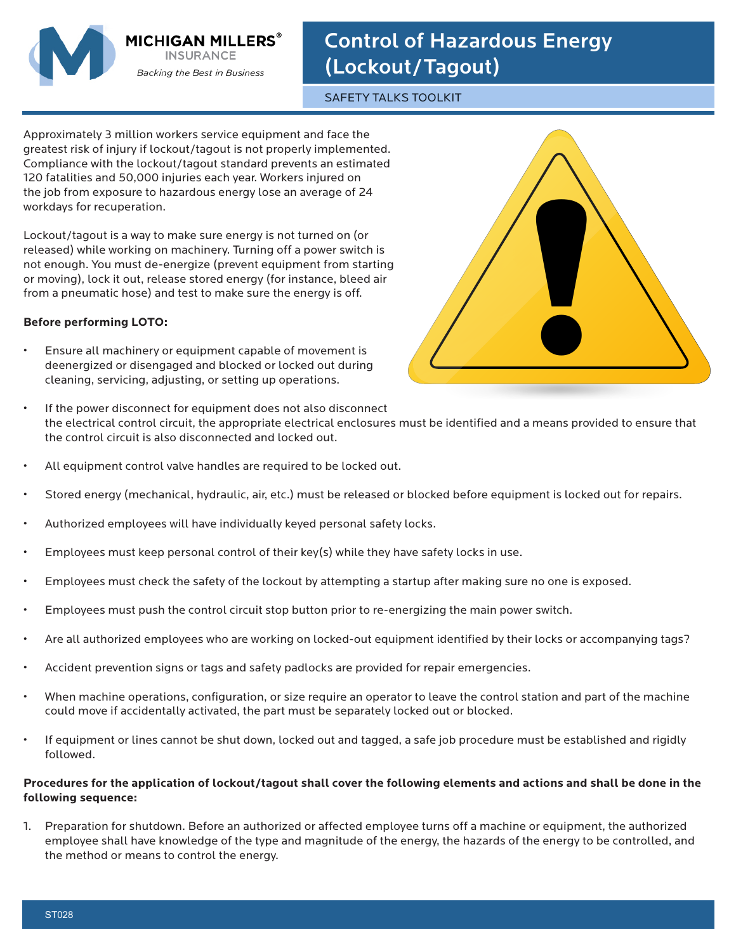

**MICHIGAN MILLERS INSURANCE** Backing the Best in Business

## Control of Hazardous Energy (Lockout/Tagout)

SAFETY TALKS TOOLKIT

Approximately 3 million workers service equipment and face the greatest risk of injury if lockout/tagout is not properly implemented. Compliance with the lockout/tagout standard prevents an estimated 120 fatalities and 50,000 injuries each year. Workers injured on the job from exposure to hazardous energy lose an average of 24 workdays for recuperation.

Lockout/tagout is a way to make sure energy is not turned on (or released) while working on machinery. Turning off a power switch is not enough. You must de-energize (prevent equipment from starting or moving), lock it out, release stored energy (for instance, bleed air from a pneumatic hose) and test to make sure the energy is off.

## **Before performing LOTO:**

- Ensure all machinery or equipment capable of movement is deenergized or disengaged and blocked or locked out during cleaning, servicing, adjusting, or setting up operations.
- **!**
- If the power disconnect for equipment does not also disconnect the electrical control circuit, the appropriate electrical enclosures must be identified and a means provided to ensure that the control circuit is also disconnected and locked out.
- All equipment control valve handles are required to be locked out.
- Stored energy (mechanical, hydraulic, air, etc.) must be released or blocked before equipment is locked out for repairs.
- Authorized employees will have individually keyed personal safety locks.
- Employees must keep personal control of their key(s) while they have safety locks in use.
- Employees must check the safety of the lockout by attempting a startup after making sure no one is exposed.
- Employees must push the control circuit stop button prior to re-energizing the main power switch.
- Are all authorized employees who are working on locked-out equipment identified by their locks or accompanying tags?
- Accident prevention signs or tags and safety padlocks are provided for repair emergencies.
- When machine operations, configuration, or size require an operator to leave the control station and part of the machine could move if accidentally activated, the part must be separately locked out or blocked.
- If equipment or lines cannot be shut down, locked out and tagged, a safe job procedure must be established and rigidly followed.

## **Procedures for the application of lockout/tagout shall cover the following elements and actions and shall be done in the following sequence:**

1. Preparation for shutdown. Before an authorized or affected employee turns off a machine or equipment, the authorized employee shall have knowledge of the type and magnitude of the energy, the hazards of the energy to be controlled, and the method or means to control the energy.